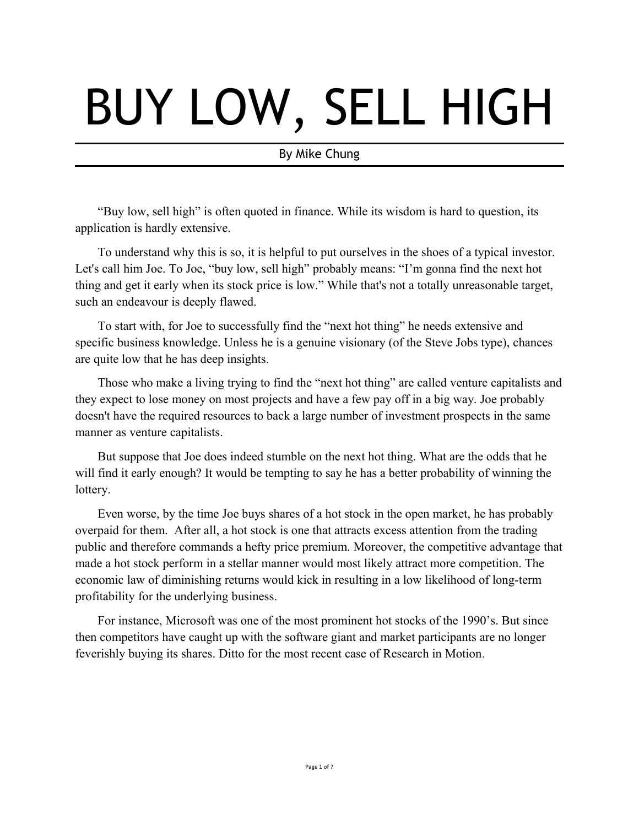# BUY LOW, SELL HIGH

# By Mike Chung

"Buy low, sell high" is often quoted in finance. While its wisdom is hard to question, its application is hardly extensive.

To understand why this is so, it is helpful to put ourselves in the shoes of a typical investor. Let's call him Joe. To Joe, "buy low, sell high" probably means: "I'm gonna find the next hot thing and get it early when its stock price is low." While that's not a totally unreasonable target, such an endeavour is deeply flawed.

To start with, for Joe to successfully find the "next hot thing" he needs extensive and specific business knowledge. Unless he is a genuine visionary (of the Steve Jobs type), chances are quite low that he has deep insights.

Those who make a living trying to find the "next hot thing" are called venture capitalists and they expect to lose money on most projects and have a few pay off in a big way. Joe probably doesn't have the required resources to back a large number of investment prospects in the same manner as venture capitalists.

But suppose that Joe does indeed stumble on the next hot thing. What are the odds that he will find it early enough? It would be tempting to say he has a better probability of winning the lottery.

Even worse, by the time Joe buys shares of a hot stock in the open market, he has probably overpaid for them. After all, a hot stock is one that attracts excess attention from the trading public and therefore commands a hefty price premium. Moreover, the competitive advantage that made a hot stock perform in a stellar manner would most likely attract more competition. The economic law of diminishing returns would kick in resulting in a low likelihood of long-term profitability for the underlying business.

For instance, Microsoft was one of the most prominent hot stocks of the 1990's. But since then competitors have caught up with the software giant and market participants are no longer feverishly buying its shares. Ditto for the most recent case of Research in Motion.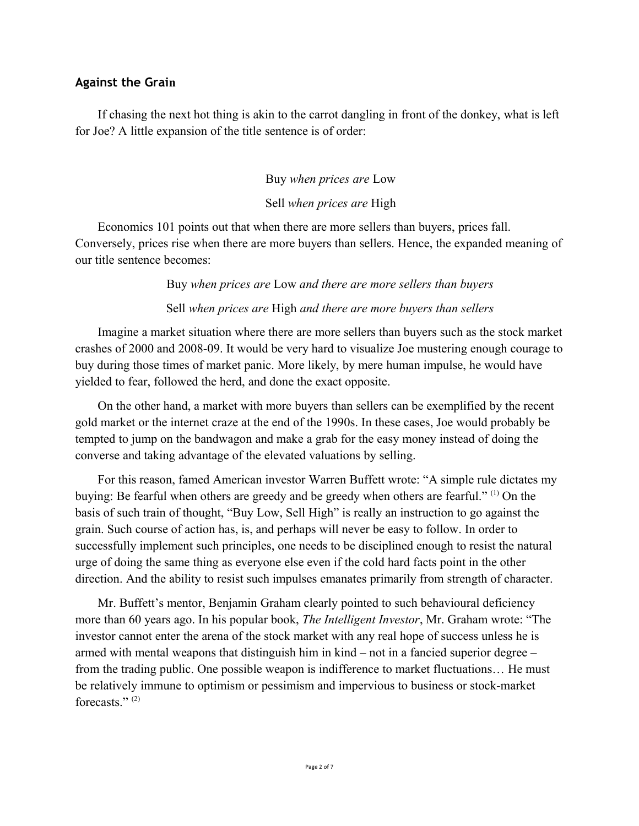# **Against the Grain**

If chasing the next hot thing is akin to the carrot dangling in front of the donkey, what is left for Joe? A little expansion of the title sentence is of order:

Buy *when prices are* Low

# Sell *when prices are* High

Economics 101 points out that when there are more sellers than buyers, prices fall. Conversely, prices rise when there are more buyers than sellers. Hence, the expanded meaning of our title sentence becomes:

Buy *when prices are* Low *and there are more sellers than buyers*

Sell *when prices are* High *and there are more buyers than sellers*

Imagine a market situation where there are more sellers than buyers such as the stock market crashes of 2000 and 2008-09. It would be very hard to visualize Joe mustering enough courage to buy during those times of market panic. More likely, by mere human impulse, he would have yielded to fear, followed the herd, and done the exact opposite.

On the other hand, a market with more buyers than sellers can be exemplified by the recent gold market or the internet craze at the end of the 1990s. In these cases, Joe would probably be tempted to jump on the bandwagon and make a grab for the easy money instead of doing the converse and taking advantage of the elevated valuations by selling.

For this reason, famed American investor Warren Buffett wrote: "A simple rule dictates my buying: Be fearful when others are greedy and be greedy when others are fearful." (1) On the basis of such train of thought, "Buy Low, Sell High" is really an instruction to go against the grain. Such course of action has, is, and perhaps will never be easy to follow. In order to successfully implement such principles, one needs to be disciplined enough to resist the natural urge of doing the same thing as everyone else even if the cold hard facts point in the other direction. And the ability to resist such impulses emanates primarily from strength of character.

Mr. Buffett's mentor, Benjamin Graham clearly pointed to such behavioural deficiency more than 60 years ago. In his popular book, *The Intelligent Investor*, Mr. Graham wrote: "The investor cannot enter the arena of the stock market with any real hope of success unless he is armed with mental weapons that distinguish him in kind – not in a fancied superior degree – from the trading public. One possible weapon is indifference to market fluctuations… He must be relatively immune to optimism or pessimism and impervious to business or stock-market forecasts."<sup>(2)</sup>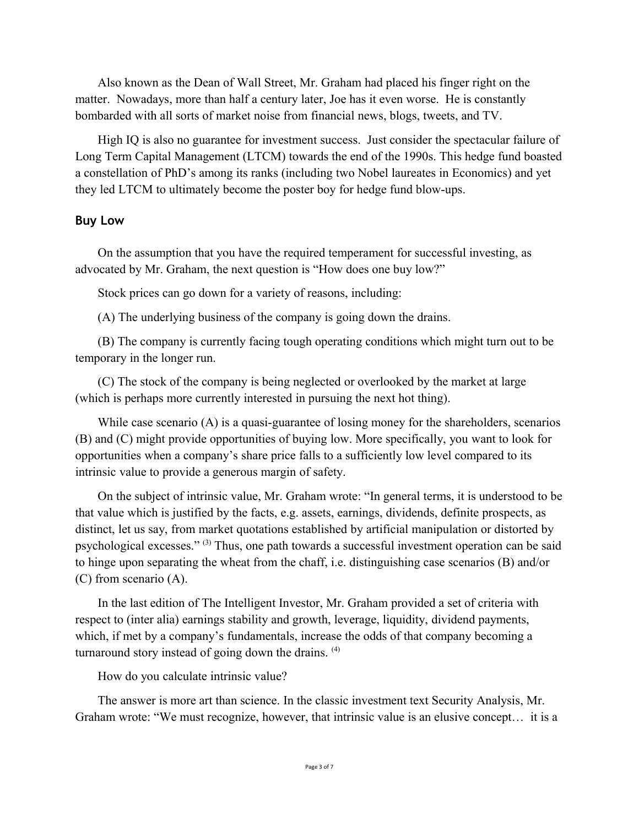Also known as the Dean of Wall Street, Mr. Graham had placed his finger right on the matter. Nowadays, more than half a century later, Joe has it even worse. He is constantly bombarded with all sorts of market noise from financial news, blogs, tweets, and TV.

High IQ is also no guarantee for investment success. Just consider the spectacular failure of Long Term Capital Management (LTCM) towards the end of the 1990s. This hedge fund boasted a constellation of PhD's among its ranks (including two Nobel laureates in Economics) and yet they led LTCM to ultimately become the poster boy for hedge fund blow-ups.

#### **Buy Low**

On the assumption that you have the required temperament for successful investing, as advocated by Mr. Graham, the next question is "How does one buy low?"

Stock prices can go down for a variety of reasons, including:

(A) The underlying business of the company is going down the drains.

(B) The company is currently facing tough operating conditions which might turn out to be temporary in the longer run.

(C) The stock of the company is being neglected or overlooked by the market at large (which is perhaps more currently interested in pursuing the next hot thing).

While case scenario (A) is a quasi-guarantee of losing money for the shareholders, scenarios (B) and (C) might provide opportunities of buying low. More specifically, you want to look for opportunities when a company's share price falls to a sufficiently low level compared to its intrinsic value to provide a generous margin of safety.

On the subject of intrinsic value, Mr. Graham wrote: "In general terms, it is understood to be that value which is justified by the facts, e.g. assets, earnings, dividends, definite prospects, as distinct, let us say, from market quotations established by artificial manipulation or distorted by psychological excesses." (3) Thus, one path towards a successful investment operation can be said to hinge upon separating the wheat from the chaff, i.e. distinguishing case scenarios (B) and/or (C) from scenario (A).

In the last edition of The Intelligent Investor, Mr. Graham provided a set of criteria with respect to (inter alia) earnings stability and growth, leverage, liquidity, dividend payments, which, if met by a company's fundamentals, increase the odds of that company becoming a turnaround story instead of going down the drains. (4)

How do you calculate intrinsic value?

The answer is more art than science. In the classic investment text Security Analysis, Mr. Graham wrote: "We must recognize, however, that intrinsic value is an elusive concept… it is a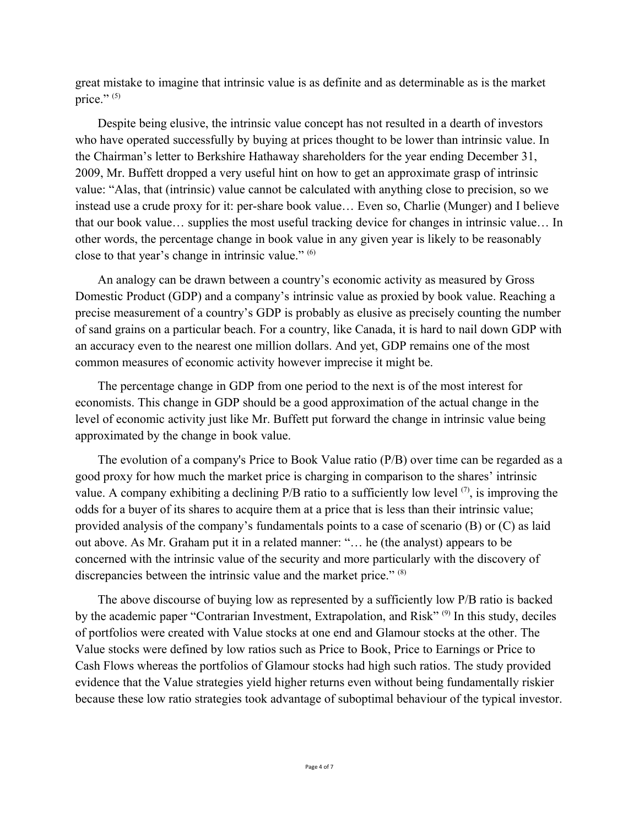great mistake to imagine that intrinsic value is as definite and as determinable as is the market price." $(5)$ 

Despite being elusive, the intrinsic value concept has not resulted in a dearth of investors who have operated successfully by buying at prices thought to be lower than intrinsic value. In the Chairman's letter to Berkshire Hathaway shareholders for the year ending December 31, 2009, Mr. Buffett dropped a very useful hint on how to get an approximate grasp of intrinsic value: "Alas, that (intrinsic) value cannot be calculated with anything close to precision, so we instead use a crude proxy for it: per-share book value… Even so, Charlie (Munger) and I believe that our book value… supplies the most useful tracking device for changes in intrinsic value… In other words, the percentage change in book value in any given year is likely to be reasonably close to that year's change in intrinsic value." (6)

An analogy can be drawn between a country's economic activity as measured by Gross Domestic Product (GDP) and a company's intrinsic value as proxied by book value. Reaching a precise measurement of a country's GDP is probably as elusive as precisely counting the number of sand grains on a particular beach. For a country, like Canada, it is hard to nail down GDP with an accuracy even to the nearest one million dollars. And yet, GDP remains one of the most common measures of economic activity however imprecise it might be.

The percentage change in GDP from one period to the next is of the most interest for economists. This change in GDP should be a good approximation of the actual change in the level of economic activity just like Mr. Buffett put forward the change in intrinsic value being approximated by the change in book value.

The evolution of a company's Price to Book Value ratio (P/B) over time can be regarded as a good proxy for how much the market price is charging in comparison to the shares' intrinsic value. A company exhibiting a declining  $P/B$  ratio to a sufficiently low level  $(7)$ , is improving the odds for a buyer of its shares to acquire them at a price that is less than their intrinsic value; provided analysis of the company's fundamentals points to a case of scenario (B) or (C) as laid out above. As Mr. Graham put it in a related manner: "… he (the analyst) appears to be concerned with the intrinsic value of the security and more particularly with the discovery of discrepancies between the intrinsic value and the market price." (8)

The above discourse of buying low as represented by a sufficiently low P/B ratio is backed by the academic paper "Contrarian Investment, Extrapolation, and Risk" <sup>(9)</sup> In this study, deciles of portfolios were created with Value stocks at one end and Glamour stocks at the other. The Value stocks were defined by low ratios such as Price to Book, Price to Earnings or Price to Cash Flows whereas the portfolios of Glamour stocks had high such ratios. The study provided evidence that the Value strategies yield higher returns even without being fundamentally riskier because these low ratio strategies took advantage of suboptimal behaviour of the typical investor.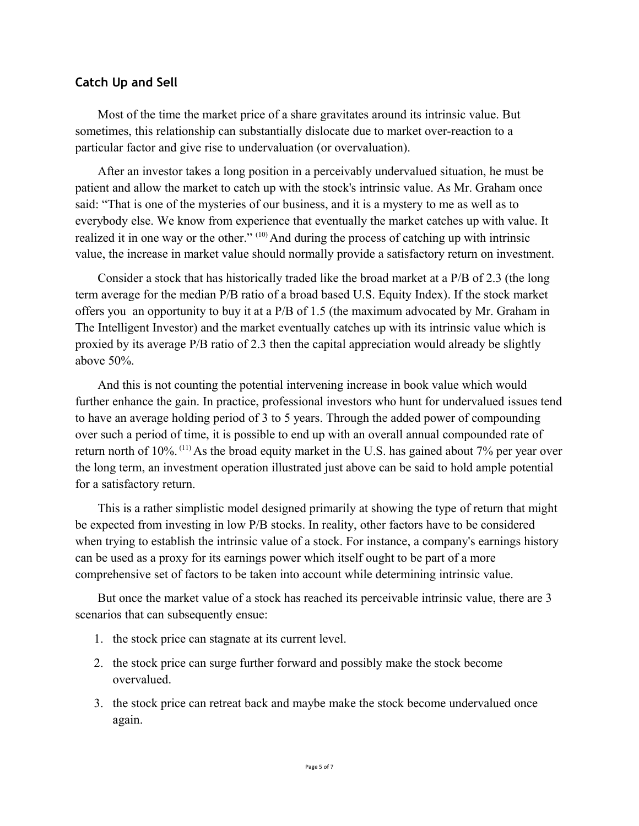# **Catch Up and Sell**

Most of the time the market price of a share gravitates around its intrinsic value. But sometimes, this relationship can substantially dislocate due to market over-reaction to a particular factor and give rise to undervaluation (or overvaluation).

After an investor takes a long position in a perceivably undervalued situation, he must be patient and allow the market to catch up with the stock's intrinsic value. As Mr. Graham once said: "That is one of the mysteries of our business, and it is a mystery to me as well as to everybody else. We know from experience that eventually the market catches up with value. It realized it in one way or the other." (10) And during the process of catching up with intrinsic value, the increase in market value should normally provide a satisfactory return on investment.

Consider a stock that has historically traded like the broad market at a P/B of 2.3 (the long term average for the median P/B ratio of a broad based U.S. Equity Index). If the stock market offers you an opportunity to buy it at a P/B of 1.5 (the maximum advocated by Mr. Graham in The Intelligent Investor) and the market eventually catches up with its intrinsic value which is proxied by its average P/B ratio of 2.3 then the capital appreciation would already be slightly above 50%.

And this is not counting the potential intervening increase in book value which would further enhance the gain. In practice, professional investors who hunt for undervalued issues tend to have an average holding period of 3 to 5 years. Through the added power of compounding over such a period of time, it is possible to end up with an overall annual compounded rate of return north of 10%. <sup>(11)</sup> As the broad equity market in the U.S. has gained about 7% per year over the long term, an investment operation illustrated just above can be said to hold ample potential for a satisfactory return.

This is a rather simplistic model designed primarily at showing the type of return that might be expected from investing in low P/B stocks. In reality, other factors have to be considered when trying to establish the intrinsic value of a stock. For instance, a company's earnings history can be used as a proxy for its earnings power which itself ought to be part of a more comprehensive set of factors to be taken into account while determining intrinsic value.

But once the market value of a stock has reached its perceivable intrinsic value, there are 3 scenarios that can subsequently ensue:

- 1. the stock price can stagnate at its current level.
- 2. the stock price can surge further forward and possibly make the stock become overvalued.
- 3. the stock price can retreat back and maybe make the stock become undervalued once again.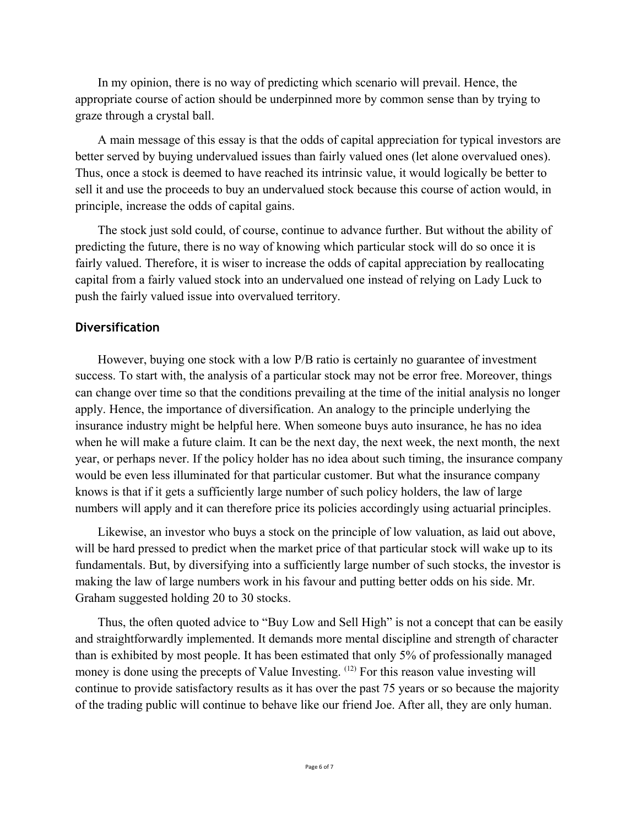In my opinion, there is no way of predicting which scenario will prevail. Hence, the appropriate course of action should be underpinned more by common sense than by trying to graze through a crystal ball.

A main message of this essay is that the odds of capital appreciation for typical investors are better served by buying undervalued issues than fairly valued ones (let alone overvalued ones). Thus, once a stock is deemed to have reached its intrinsic value, it would logically be better to sell it and use the proceeds to buy an undervalued stock because this course of action would, in principle, increase the odds of capital gains.

The stock just sold could, of course, continue to advance further. But without the ability of predicting the future, there is no way of knowing which particular stock will do so once it is fairly valued. Therefore, it is wiser to increase the odds of capital appreciation by reallocating capital from a fairly valued stock into an undervalued one instead of relying on Lady Luck to push the fairly valued issue into overvalued territory.

## **Diversification**

However, buying one stock with a low P/B ratio is certainly no guarantee of investment success. To start with, the analysis of a particular stock may not be error free. Moreover, things can change over time so that the conditions prevailing at the time of the initial analysis no longer apply. Hence, the importance of diversification. An analogy to the principle underlying the insurance industry might be helpful here. When someone buys auto insurance, he has no idea when he will make a future claim. It can be the next day, the next week, the next month, the next year, or perhaps never. If the policy holder has no idea about such timing, the insurance company would be even less illuminated for that particular customer. But what the insurance company knows is that if it gets a sufficiently large number of such policy holders, the law of large numbers will apply and it can therefore price its policies accordingly using actuarial principles.

Likewise, an investor who buys a stock on the principle of low valuation, as laid out above, will be hard pressed to predict when the market price of that particular stock will wake up to its fundamentals. But, by diversifying into a sufficiently large number of such stocks, the investor is making the law of large numbers work in his favour and putting better odds on his side. Mr. Graham suggested holding 20 to 30 stocks.

Thus, the often quoted advice to "Buy Low and Sell High" is not a concept that can be easily and straightforwardly implemented. It demands more mental discipline and strength of character than is exhibited by most people. It has been estimated that only 5% of professionally managed money is done using the precepts of Value Investing. <sup>(12)</sup> For this reason value investing will continue to provide satisfactory results as it has over the past 75 years or so because the majority of the trading public will continue to behave like our friend Joe. After all, they are only human.